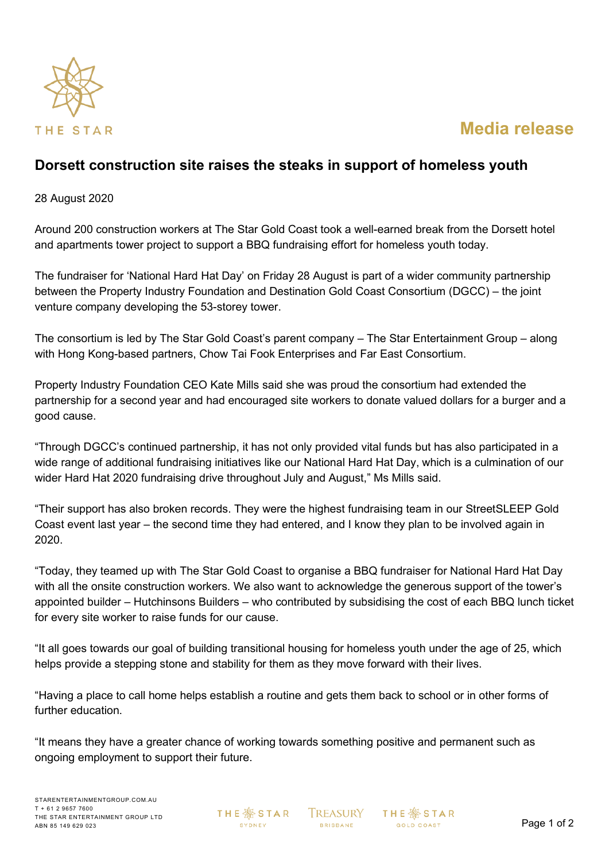

## **Media release**

## **Dorsett construction site raises the steaks in support of homeless youth**

28 August 2020

Around 200 construction workers at The Star Gold Coast took a well-earned break from the Dorsett hotel and apartments tower project to support a BBQ fundraising effort for homeless youth today.

The fundraiser for 'National Hard Hat Day' on Friday 28 August is part of a wider community partnership between the Property Industry Foundation and Destination Gold Coast Consortium (DGCC) – the joint venture company developing the 53-storey tower.

The consortium is led by The Star Gold Coast's parent company – The Star Entertainment Group – along with Hong Kong-based partners, Chow Tai Fook Enterprises and Far East Consortium.

Property Industry Foundation CEO Kate Mills said she was proud the consortium had extended the partnership for a second year and had encouraged site workers to donate valued dollars for a burger and a good cause.

"Through DGCC's continued partnership, it has not only provided vital funds but has also participated in a wide range of additional fundraising initiatives like our National Hard Hat Day, which is a culmination of our wider Hard Hat 2020 fundraising drive throughout July and August," Ms Mills said.

"Their support has also broken records. They were the highest fundraising team in our StreetSLEEP Gold Coast event last year – the second time they had entered, and I know they plan to be involved again in 2020.

"Today, they teamed up with The Star Gold Coast to organise a BBQ fundraiser for National Hard Hat Day with all the onsite construction workers. We also want to acknowledge the generous support of the tower's appointed builder – Hutchinsons Builders – who contributed by subsidising the cost of each BBQ lunch ticket for every site worker to raise funds for our cause.

"It all goes towards our goal of building transitional housing for homeless youth under the age of 25, which helps provide a stepping stone and stability for them as they move forward with their lives.

"Having a place to call home helps establish a routine and gets them back to school or in other forms of further education.

"It means they have a greater chance of working towards something positive and permanent such as ongoing employment to support their future.

**THE ※ STAR** SYDNEY

**TREASURY BRISBANE** 

**THE ※STAR GOLD COAST**